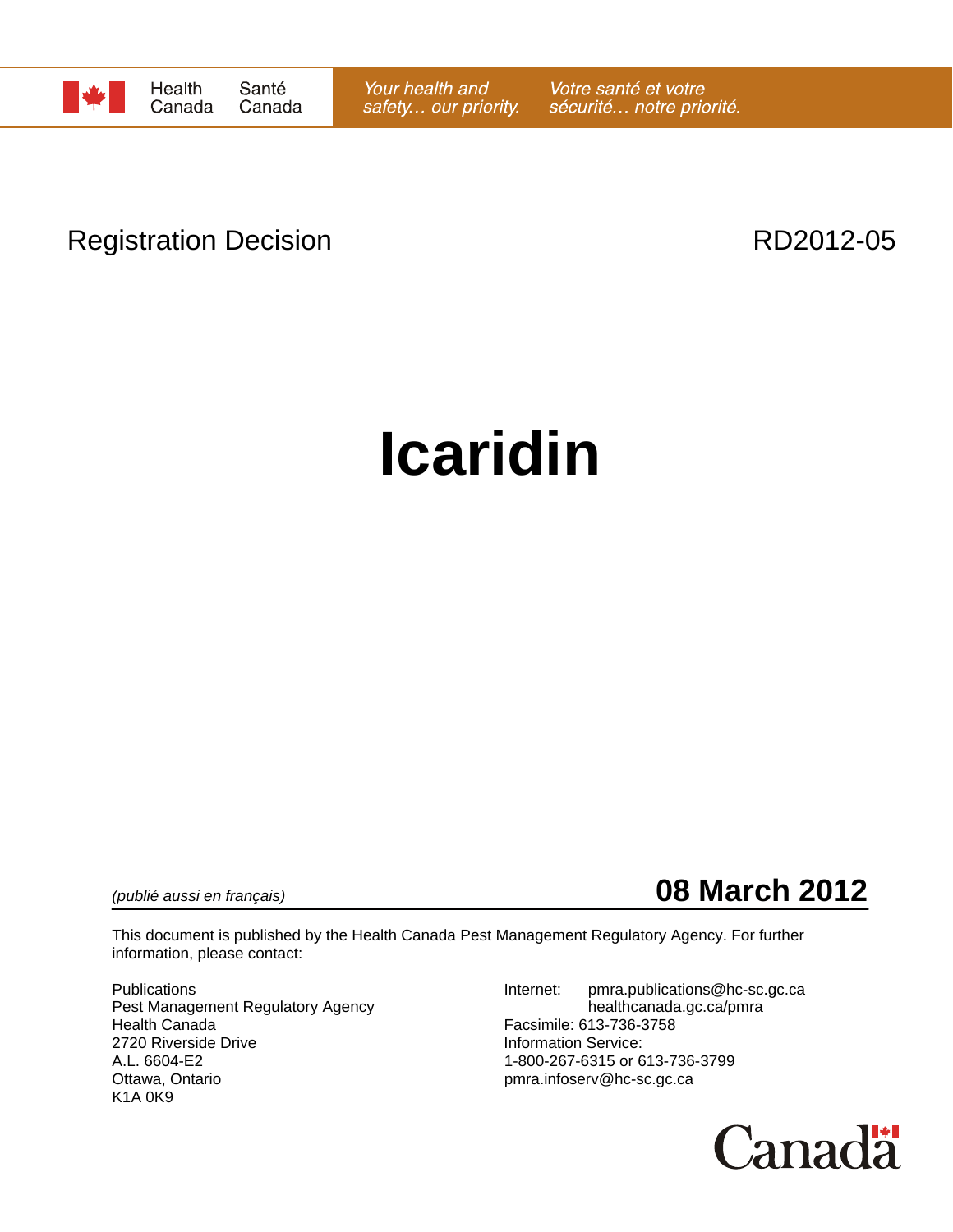

# Registration Decision **RD2012-05**

# **Icaridin**

*(publié aussi en français)* **08 March 2012**

This document is published by the Health Canada Pest Management Regulatory Agency. For further information, please contact:

Pest Management Regulatory Agency healthcanada.gc.ca/pmra Health Canada Facsimile: 613-736-3758 2720 Riverside Drive **Information Service:**<br>A.L. 6604-E2 1-800-267-6315 or 6 A.L. 6604-E2 1-800-267-6315 or 613-736-3799<br>Ottawa, Ontario 11-800-267-6315 or 613-736-3799 K1A 0K9

Publications **Internet:** pmra.publications@hc-sc.gc.ca pmra.infoserv@hc-sc.gc.ca

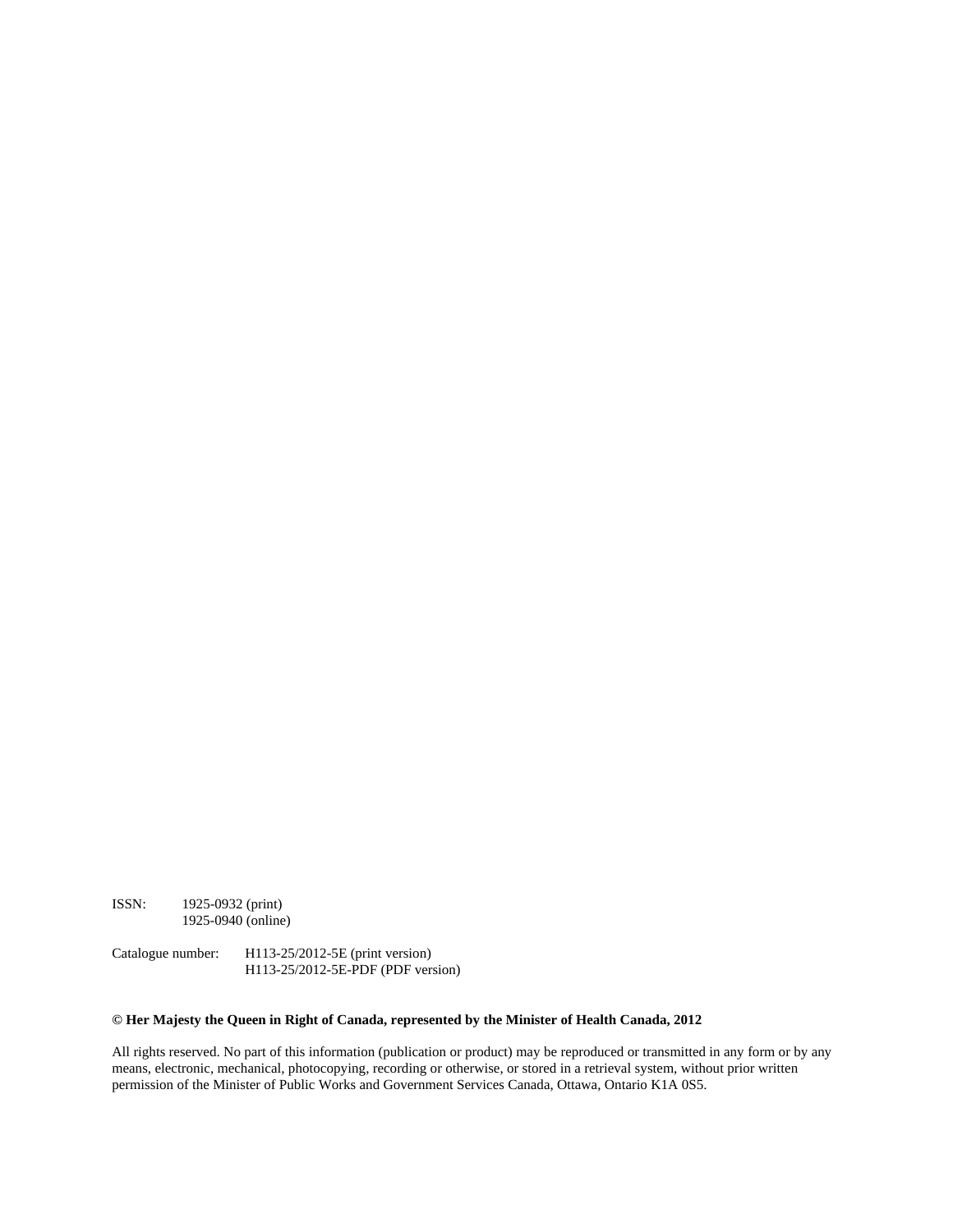ISSN: 1925-0932 (print) 1925-0940 (online)

Catalogue number: H113-25/2012-5E (print version) H113-25/2012-5E-PDF (PDF version)

#### **© Her Majesty the Queen in Right of Canada, represented by the Minister of Health Canada, 2012**

All rights reserved. No part of this information (publication or product) may be reproduced or transmitted in any form or by any means, electronic, mechanical, photocopying, recording or otherwise, or stored in a retrieval system, without prior written permission of the Minister of Public Works and Government Services Canada, Ottawa, Ontario K1A 0S5.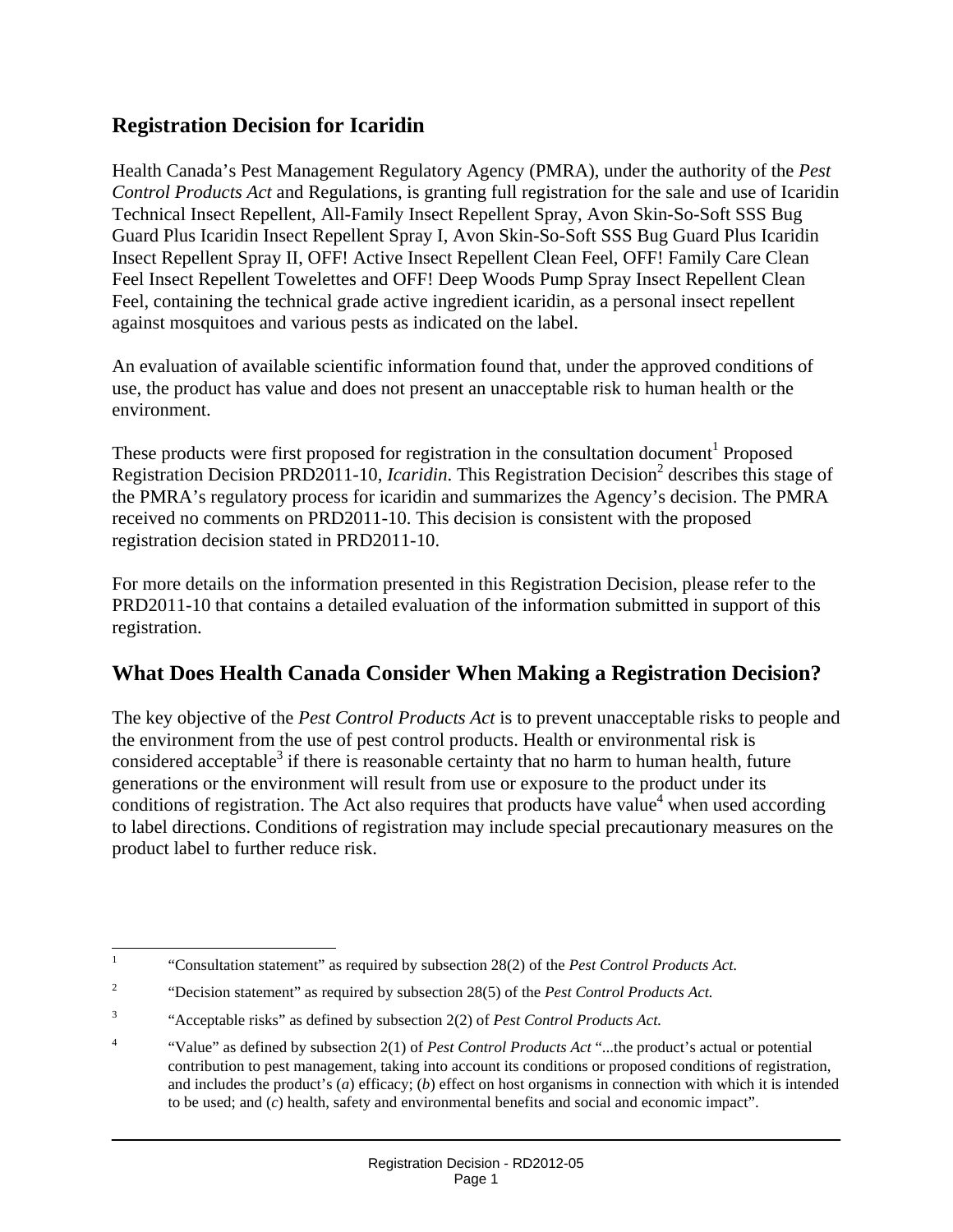# **Registration Decision for Icaridin**

Health Canada's Pest Management Regulatory Agency (PMRA), under the authority of the *Pest Control Products Act* and Regulations, is granting full registration for the sale and use of Icaridin Technical Insect Repellent, All-Family Insect Repellent Spray, Avon Skin-So-Soft SSS Bug Guard Plus Icaridin Insect Repellent Spray I, Avon Skin-So-Soft SSS Bug Guard Plus Icaridin Insect Repellent Spray II, OFF! Active Insect Repellent Clean Feel, OFF! Family Care Clean Feel Insect Repellent Towelettes and OFF! Deep Woods Pump Spray Insect Repellent Clean Feel, containing the technical grade active ingredient icaridin, as a personal insect repellent against mosquitoes and various pests as indicated on the label.

An evaluation of available scientific information found that, under the approved conditions of use, the product has value and does not present an unacceptable risk to human health or the environment.

These products were first proposed for registration in the consultation document<sup>1</sup> Proposed Registration Decision PRD2011-10, *Icaridin*. This Registration Decision<sup>2</sup> describes this stage of the PMRA's regulatory process for icaridin and summarizes the Agency's decision. The PMRA received no comments on PRD2011-10. This decision is consistent with the proposed registration decision stated in PRD2011-10.

For more details on the information presented in this Registration Decision, please refer to the PRD2011-10 that contains a detailed evaluation of the information submitted in support of this registration.

## **What Does Health Canada Consider When Making a Registration Decision?**

The key objective of the *Pest Control Products Act* is to prevent unacceptable risks to people and the environment from the use of pest control products. Health or environmental risk is considered acceptable<sup>3</sup> if there is reasonable certainty that no harm to human health, future generations or the environment will result from use or exposure to the product under its conditions of registration. The Act also requires that products have value<sup>4</sup> when used according to label directions. Conditions of registration may include special precautionary measures on the product label to further reduce risk.

 $\frac{1}{1}$ "Consultation statement" as required by subsection 28(2) of the *Pest Control Products Act*.

<sup>2</sup> "Decision statement" as required by subsection 28(5) of the *Pest Control Products Act.*

<sup>3</sup> "Acceptable risks" as defined by subsection 2(2) of *Pest Control Products Act.*

<sup>4</sup> "Value" as defined by subsection 2(1) of *Pest Control Products Act* "...the product's actual or potential contribution to pest management, taking into account its conditions or proposed conditions of registration, and includes the product's (*a*) efficacy; (*b*) effect on host organisms in connection with which it is intended to be used; and (*c*) health, safety and environmental benefits and social and economic impact".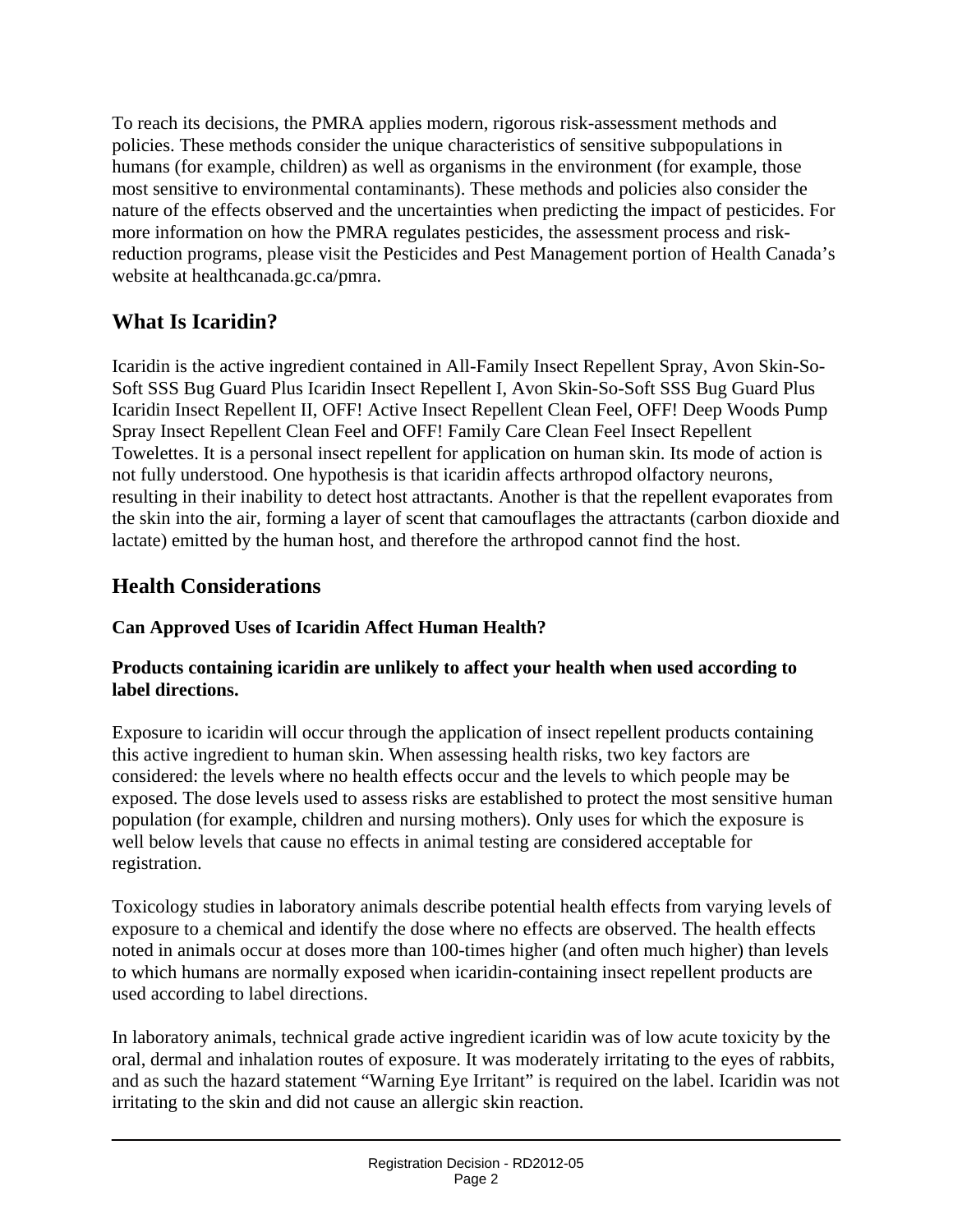To reach its decisions, the PMRA applies modern, rigorous risk-assessment methods and policies. These methods consider the unique characteristics of sensitive subpopulations in humans (for example, children) as well as organisms in the environment (for example, those most sensitive to environmental contaminants). These methods and policies also consider the nature of the effects observed and the uncertainties when predicting the impact of pesticides. For more information on how the PMRA regulates pesticides, the assessment process and riskreduction programs, please visit the Pesticides and Pest Management portion of Health Canada's website at healthcanada.gc.ca/pmra.

# **What Is Icaridin?**

Icaridin is the active ingredient contained in All-Family Insect Repellent Spray, Avon Skin-So-Soft SSS Bug Guard Plus Icaridin Insect Repellent I, Avon Skin-So-Soft SSS Bug Guard Plus Icaridin Insect Repellent II, OFF! Active Insect Repellent Clean Feel, OFF! Deep Woods Pump Spray Insect Repellent Clean Feel and OFF! Family Care Clean Feel Insect Repellent Towelettes. It is a personal insect repellent for application on human skin. Its mode of action is not fully understood. One hypothesis is that icaridin affects arthropod olfactory neurons, resulting in their inability to detect host attractants. Another is that the repellent evaporates from the skin into the air, forming a layer of scent that camouflages the attractants (carbon dioxide and lactate) emitted by the human host, and therefore the arthropod cannot find the host.

# **Health Considerations**

### **Can Approved Uses of Icaridin Affect Human Health?**

#### **Products containing icaridin are unlikely to affect your health when used according to label directions.**

Exposure to icaridin will occur through the application of insect repellent products containing this active ingredient to human skin. When assessing health risks, two key factors are considered: the levels where no health effects occur and the levels to which people may be exposed. The dose levels used to assess risks are established to protect the most sensitive human population (for example, children and nursing mothers). Only uses for which the exposure is well below levels that cause no effects in animal testing are considered acceptable for registration.

Toxicology studies in laboratory animals describe potential health effects from varying levels of exposure to a chemical and identify the dose where no effects are observed. The health effects noted in animals occur at doses more than 100-times higher (and often much higher) than levels to which humans are normally exposed when icaridin-containing insect repellent products are used according to label directions.

In laboratory animals, technical grade active ingredient icaridin was of low acute toxicity by the oral, dermal and inhalation routes of exposure. It was moderately irritating to the eyes of rabbits, and as such the hazard statement "Warning Eye Irritant" is required on the label. Icaridin was not irritating to the skin and did not cause an allergic skin reaction.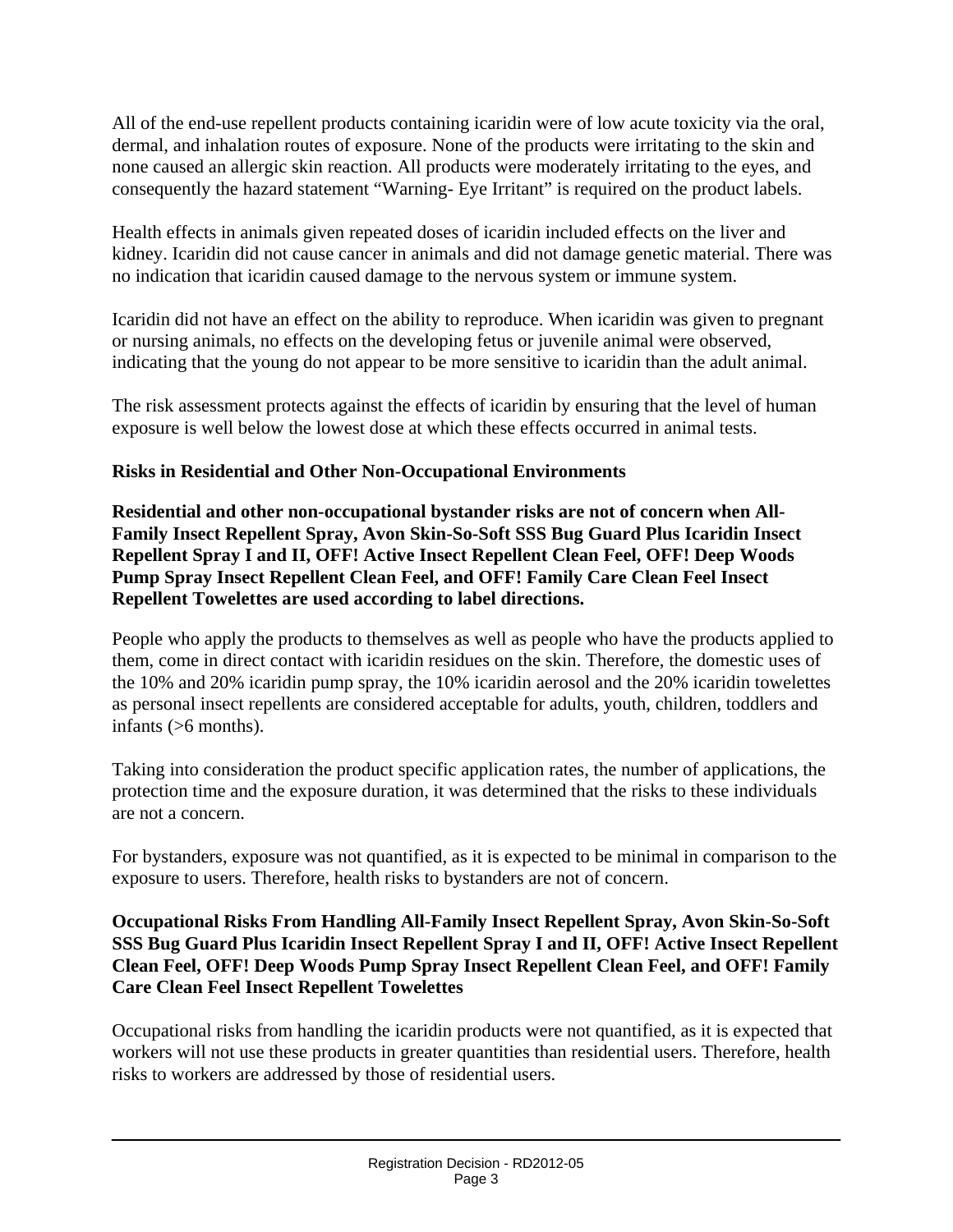All of the end-use repellent products containing icaridin were of low acute toxicity via the oral, dermal, and inhalation routes of exposure. None of the products were irritating to the skin and none caused an allergic skin reaction. All products were moderately irritating to the eyes, and consequently the hazard statement "Warning- Eye Irritant" is required on the product labels.

Health effects in animals given repeated doses of icaridin included effects on the liver and kidney. Icaridin did not cause cancer in animals and did not damage genetic material. There was no indication that icaridin caused damage to the nervous system or immune system.

Icaridin did not have an effect on the ability to reproduce. When icaridin was given to pregnant or nursing animals, no effects on the developing fetus or juvenile animal were observed, indicating that the young do not appear to be more sensitive to icaridin than the adult animal.

The risk assessment protects against the effects of icaridin by ensuring that the level of human exposure is well below the lowest dose at which these effects occurred in animal tests.

#### **Risks in Residential and Other Non-Occupational Environments**

**Residential and other non-occupational bystander risks are not of concern when All-Family Insect Repellent Spray, Avon Skin-So-Soft SSS Bug Guard Plus Icaridin Insect Repellent Spray I and II, OFF! Active Insect Repellent Clean Feel, OFF! Deep Woods Pump Spray Insect Repellent Clean Feel, and OFF! Family Care Clean Feel Insect Repellent Towelettes are used according to label directions.** 

People who apply the products to themselves as well as people who have the products applied to them, come in direct contact with icaridin residues on the skin. Therefore, the domestic uses of the 10% and 20% icaridin pump spray, the 10% icaridin aerosol and the 20% icaridin towelettes as personal insect repellents are considered acceptable for adults, youth, children, toddlers and infants (>6 months).

Taking into consideration the product specific application rates, the number of applications, the protection time and the exposure duration, it was determined that the risks to these individuals are not a concern.

For bystanders, exposure was not quantified, as it is expected to be minimal in comparison to the exposure to users. Therefore, health risks to bystanders are not of concern.

#### **Occupational Risks From Handling All-Family Insect Repellent Spray, Avon Skin-So-Soft SSS Bug Guard Plus Icaridin Insect Repellent Spray I and II, OFF! Active Insect Repellent Clean Feel, OFF! Deep Woods Pump Spray Insect Repellent Clean Feel, and OFF! Family Care Clean Feel Insect Repellent Towelettes**

Occupational risks from handling the icaridin products were not quantified, as it is expected that workers will not use these products in greater quantities than residential users. Therefore, health risks to workers are addressed by those of residential users.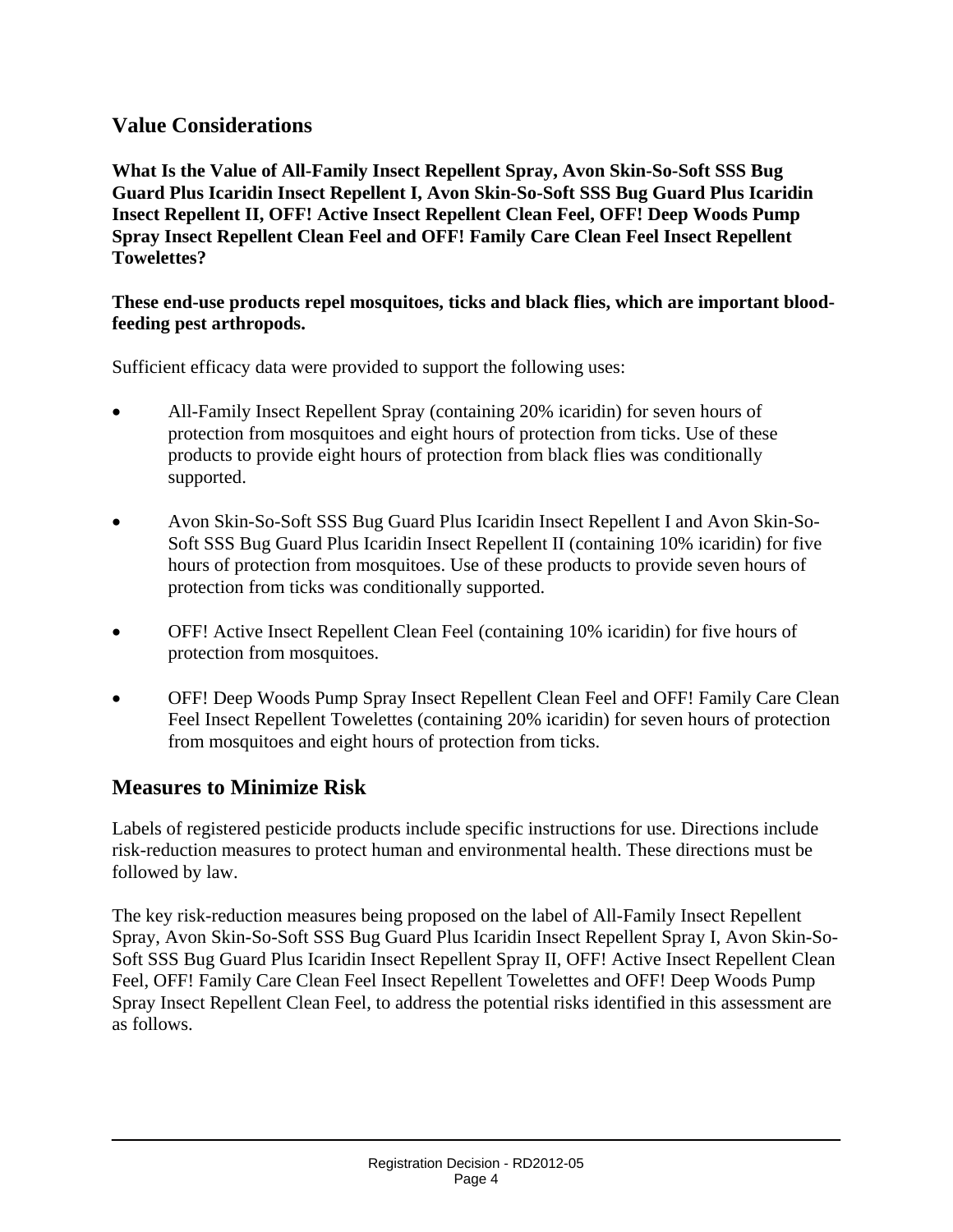### **Value Considerations**

**What Is the Value of All-Family Insect Repellent Spray, Avon Skin-So-Soft SSS Bug Guard Plus Icaridin Insect Repellent I, Avon Skin-So-Soft SSS Bug Guard Plus Icaridin Insect Repellent II, OFF! Active Insect Repellent Clean Feel, OFF! Deep Woods Pump Spray Insect Repellent Clean Feel and OFF! Family Care Clean Feel Insect Repellent Towelettes?** 

#### **These end-use products repel mosquitoes, ticks and black flies, which are important bloodfeeding pest arthropods.**

Sufficient efficacy data were provided to support the following uses:

- All-Family Insect Repellent Spray (containing 20% icaridin) for seven hours of protection from mosquitoes and eight hours of protection from ticks. Use of these products to provide eight hours of protection from black flies was conditionally supported.
- Avon Skin-So-Soft SSS Bug Guard Plus Icaridin Insect Repellent I and Avon Skin-So-Soft SSS Bug Guard Plus Icaridin Insect Repellent II (containing 10% icaridin) for five hours of protection from mosquitoes. Use of these products to provide seven hours of protection from ticks was conditionally supported.
- OFF! Active Insect Repellent Clean Feel (containing 10% icaridin) for five hours of protection from mosquitoes.
- OFF! Deep Woods Pump Spray Insect Repellent Clean Feel and OFF! Family Care Clean Feel Insect Repellent Towelettes (containing 20% icaridin) for seven hours of protection from mosquitoes and eight hours of protection from ticks.

#### **Measures to Minimize Risk**

Labels of registered pesticide products include specific instructions for use. Directions include risk-reduction measures to protect human and environmental health. These directions must be followed by law.

The key risk-reduction measures being proposed on the label of All-Family Insect Repellent Spray, Avon Skin-So-Soft SSS Bug Guard Plus Icaridin Insect Repellent Spray I, Avon Skin-So-Soft SSS Bug Guard Plus Icaridin Insect Repellent Spray II, OFF! Active Insect Repellent Clean Feel, OFF! Family Care Clean Feel Insect Repellent Towelettes and OFF! Deep Woods Pump Spray Insect Repellent Clean Feel, to address the potential risks identified in this assessment are as follows.